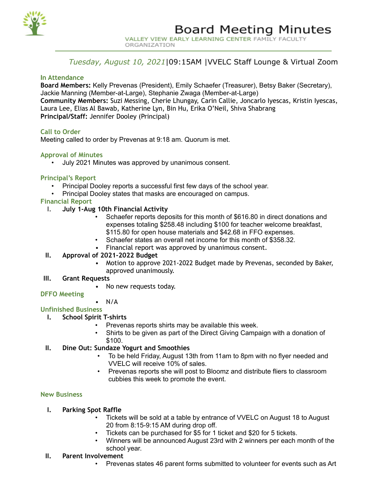

# *Tuesday, August 10, 2021*|09:15AM |VVELC Staff Lounge & Virtual Zoom

### **In Attendance**

**Board Members:** Kelly Prevenas (President), Emily Schaefer (Treasurer), Betsy Baker (Secretary), Jackie Manning (Member-at-Large), Stephanie Zwaga (Member-at-Large) **Community Members:** Suzi Messing, Cherie Lhungay, Carin Callie, Joncarlo Iyescas, Kristin Iyescas, Laura Lee, Elias Al Bawab, Katherine Lyn, Bin Hu, Erika O'Neil, Shiva Shabrang **Principal/Staff:** Jennifer Dooley (Principal)

### **Call to Order**

Meeting called to order by Prevenas at 9:18 am. Quorum is met.

### **Approval of Minutes**

• July 2021 Minutes was approved by unanimous consent.

### **Principal's Report**

- Principal Dooley reports a successful first few days of the school year.
- Principal Dooley states that masks are encouraged on campus.

## **Financial Report**

- I. **July 1-Aug 10th Financial Activity**
	- Schaefer reports deposits for this month of \$616.80 in direct donations and expenses totaling \$258.48 including \$100 for teacher welcome breakfast, \$115.80 for open house materials and \$42.68 in FFO expenses.
	- Schaefer states an overall net income for this month of \$358.32.
	- Financial report was approved by unanimous consent.

## **II. Approval of 2021-2022 Budget**

• Motion to approve 2021-2022 Budget made by Prevenas, seconded by Baker, approved unanimously.

### **III. Grant Requests**

• No new requests today.

### **DFFO Meeting**

### $\bullet$  N/A

### **Unfinished Business**

- **I. School Spirit T-shirts**
	- Prevenas reports shirts may be available this week.
	- Shirts to be given as part of the Direct Giving Campaign with a donation of \$100.

## **II. Dine Out: Sundaze Yogurt and Smoothies**

- To be held Friday, August 13th from 11am to 8pm with no flyer needed and VVELC will receive 10% of sales.
- Prevenas reports she will post to Bloomz and distribute fliers to classroom cubbies this week to promote the event.

### **New Business**

## **I. Parking Spot Raffle**

- Tickets will be sold at a table by entrance of VVELC on August 18 to August 20 from 8:15-9:15 AM during drop off.
- Tickets can be purchased for \$5 for 1 ticket and \$20 for 5 tickets.
- Winners will be announced August 23rd with 2 winners per each month of the school year.

### **II. Parent Involvement**

• Prevenas states 46 parent forms submitted to volunteer for events such as Art